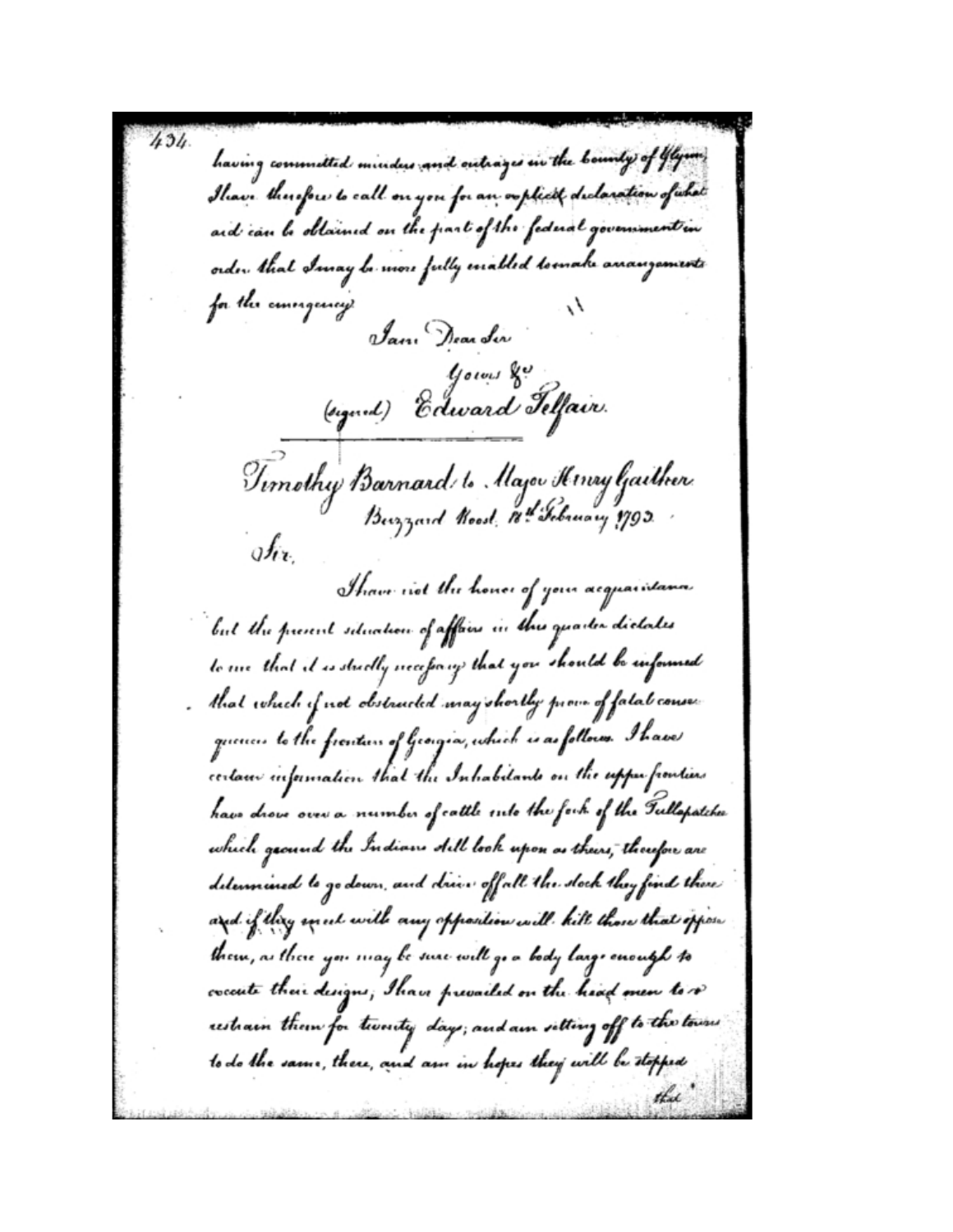having commuted minders and outrages in the bounty of Ylym Ilian. therefore to call on you for an coplect declaration of what and can be obtained on the part of the federal government in order, that Imay be more fully excalled tomake anauguments for the conesquercy Jan Dear Ler *Gows* go (eigend) Edward Telfair. Timothy Barnard to Major Henry Gaither  $g f_{\ell k}$ Tham riet the honor of your acquaintana. but the present situation of affors in this quarter dictates to sire that it is studly ireceforing that you should be informed that which if not obstructed may shortly prove of fatal consec quences to the frantiers of Georgia, which is as follows. I have certain information that the Inhabitants on the upper frontiers have drove over a number of cattle suto the fork of the Tullapatche which ground the Indians dill look upon as theirs, thoufou are determined to go down, and drive offall the stock they find there and if they un ut with any opposition will kill those that oppose them, as there you may be sure will go a body large enough to coccute their designs; Ihave prevailed on the head men to v restrain them for twenty days; and am setting off to the towns to do the same, there, and am in hopes they will be stopped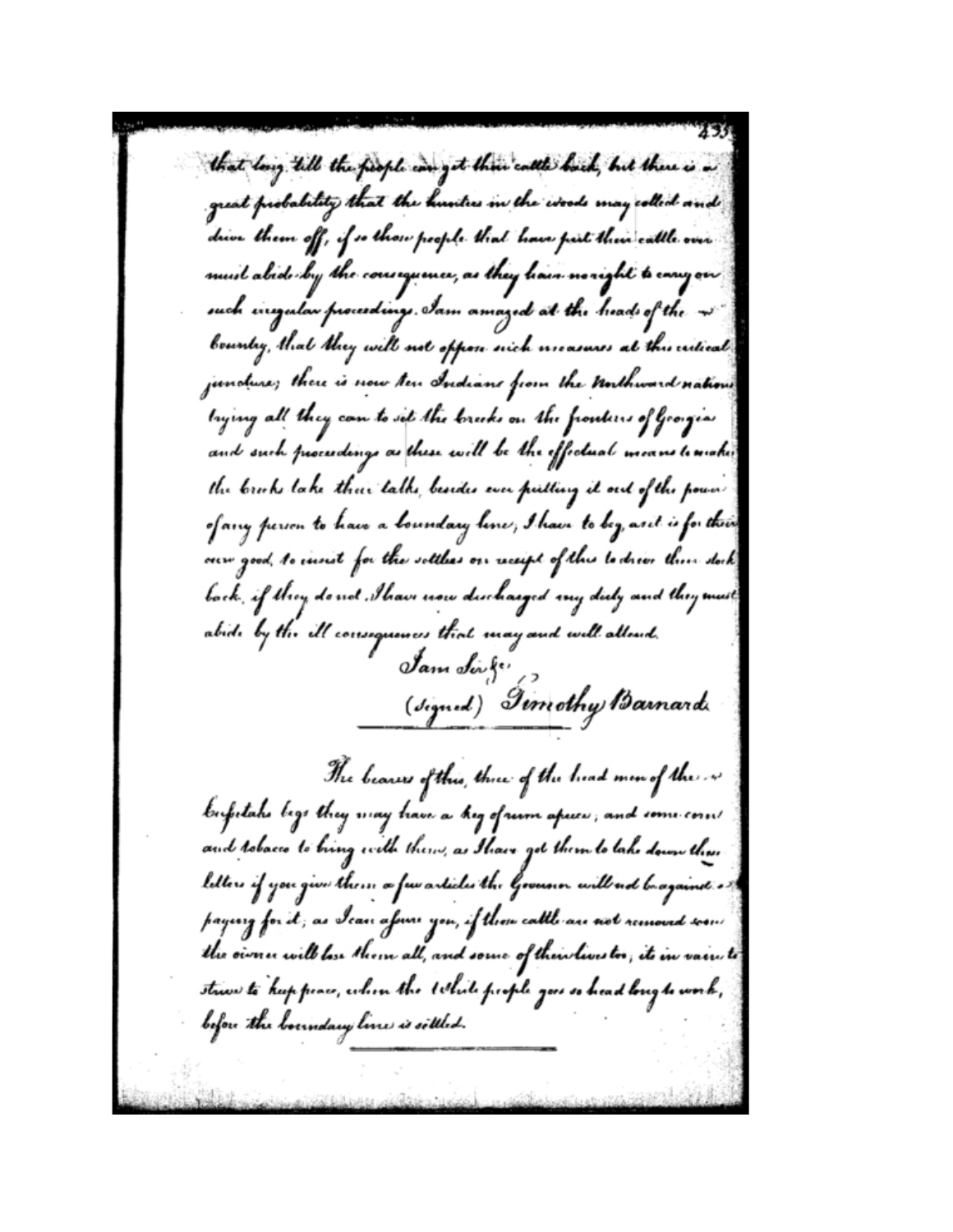that long till the fiesple can get their calle bock, but there is a great probability that the hunters in the woods may collect and drive them off, if so those people that have pail their cattle over must alide by the courequence, as they hair monight to cany on such inequitar proceedings, Iam amazed at the heads of the -v bounty, that they will not oppon nich measures at this cutied jundure; there is now ten Indians from the Unthward nations trying all they can to set the breeks on the fronters of Grorgias and such proceedings as these will be the effectual means to make the brooks lake their talks, besides ever putting it out of the pown of any person to haw a boundary lines, I have to bey, axit is for thin our good, to insist for the sottless on receipt of this to drive their stock back, if they do not ,Thave now discharged my duly and they must abide by the ill consequences that may and will alloud. Jam Singer (signed) Timothy Barnard The bearess of this, three of the head min of the so bufutaho lege they may have a hig ofnum apiec, and come com/ and robacio to bring with them, as Ihave got them to lake down thus letters if you give them a few articles the Governor will not brayainst . paying for it , as Ican afnu you, if thou cattle are not removed soon the owner will lose them all, and some of their lives too, its in vain to strive to hup peace, when the tobile people goes so head long to work, before the boundary line is sittled.